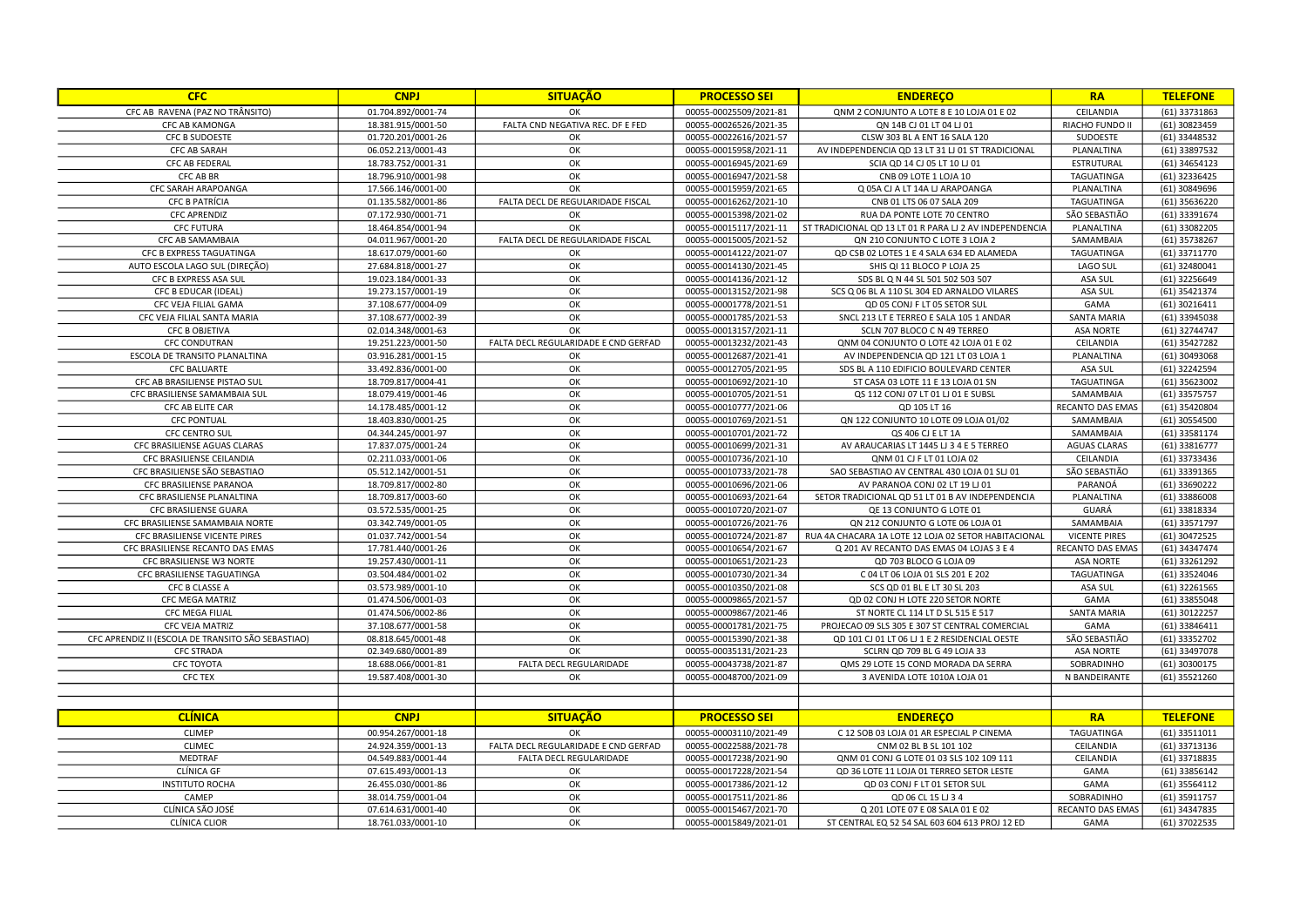| <b>CFC</b>                                         | <b>CNPJ</b>                              | <b>SITUAÇÃO</b>                      | <b>PROCESSO SEI</b>                              | <b>ENDERECO</b>                                                                      | <b>RA</b>               | <b>TELEFONE</b>                |
|----------------------------------------------------|------------------------------------------|--------------------------------------|--------------------------------------------------|--------------------------------------------------------------------------------------|-------------------------|--------------------------------|
| CFC AB RAVENA (PAZ NO TRÂNSITO)                    | 01.704.892/0001-74                       | OK                                   | 00055-00025509/2021-81                           | QNM 2 CONJUNTO A LOTE 8 E 10 LOJA 01 E 02                                            | CEILANDIA               | (61) 33731863                  |
| CFC AB KAMONGA                                     | 18.381.915/0001-50                       | FALTA CND NEGATIVA REC. DF E FED     | 00055-00026526/2021-35                           | QN 14B CJ 01 LT 04 LJ 01                                                             | RIACHO FUNDO II         | (61) 30823459                  |
| <b>CFC B SUDOESTE</b>                              | 01.720.201/0001-26                       | OK                                   | 00055-00022616/2021-57                           | CLSW 303 BL A ENT 16 SALA 120                                                        | SUDOESTE                | (61) 33448532                  |
| CFC AB SARAH                                       | 06.052.213/0001-43                       | OK                                   | 00055-00015958/2021-11                           | AV INDEPENDENCIA QD 13 LT 31 LJ 01 ST TRADICIONAL                                    | PLANALTINA              | (61) 33897532                  |
| <b>CFC AB FEDERAL</b>                              | 18.783.752/0001-31                       | OK                                   | 00055-00016945/2021-69                           | SCIA QD 14 CJ 05 LT 10 LJ 01                                                         | ESTRUTURAL              | (61) 34654123                  |
| CFC AB BR                                          | 18.796.910/0001-98                       | OK                                   | 00055-00016947/2021-58                           | CNB 09 LOTE 1 LOJA 10                                                                | TAGUATINGA              | (61) 32336425                  |
| CFC SARAH ARAPOANGA                                | 17.566.146/0001-00                       | OK                                   | 00055-00015959/2021-65                           | Q 05A CJ A LT 14A LJ ARAPOANGA                                                       | PLANALTINA              | (61) 30849696                  |
| <b>CFC B PATRÍCIA</b>                              | 01.135.582/0001-86                       | FALTA DECL DE REGULARIDADE FISCAL    | 00055-00016262/2021-10                           | CNB 01 LTS 06 07 SALA 209                                                            | TAGUATINGA              | (61) 35636220                  |
| <b>CFC APRENDIZ</b>                                | 07.172.930/0001-71                       | OK                                   | 00055-00015398/2021-02                           | RUA DA PONTE LOTE 70 CENTRO                                                          | SÃO SEBASTIÃO           | (61) 33391674                  |
| <b>CFC FUTURA</b>                                  | 18.464.854/0001-94                       | OK                                   | 00055-00015117/2021-11                           | ST TRADICIONAL QD 13 LT 01 R PARA LJ 2 AV INDEPENDENCIA                              | PLANALTINA              | (61) 33082205                  |
| CFC AB SAMAMBAIA                                   | 04.011.967/0001-20                       | FALTA DECL DE REGULARIDADE FISCAL    | 00055-00015005/2021-52                           | QN 210 CONJUNTO C LOTE 3 LOJA 2                                                      | SAMAMBAIA               | (61) 35738267                  |
| CFC B EXPRESS TAGUATINGA                           | 18.617.079/0001-60                       | OK                                   | 00055-00014122/2021-07                           | QD CSB 02 LOTES 1 E 4 SALA 634 ED ALAMEDA                                            | TAGUATINGA              | (61) 33711770                  |
| AUTO ESCOLA LAGO SUL (DIREÇÃO)                     | 27.684.818/0001-27                       | OK                                   | 00055-00014130/2021-45                           | SHIS QI 11 BLOCO P LOJA 25                                                           | LAGO SUL                | (61) 32480041                  |
| CFC B EXPRESS ASA SUL                              | 19.023.184/0001-33                       | OK                                   | 00055-00014136/2021-12                           | SDS BL Q N 44 SL 501 502 503 507                                                     | ASA SUL                 | (61) 32256649                  |
| CFC B EDUCAR (IDEAL)                               | 19.273.157/0001-19                       | OK                                   | 00055-00013152/2021-98                           | SCS Q 06 BL A 110 SL 304 ED ARNALDO VILARES                                          | ASA SUL                 | (61) 35421374                  |
| CFC VEJA FILIAL GAMA                               | 37.108.677/0004-09                       | OK                                   | 00055-00001778/2021-51                           | QD 05 CONJ F LT 05 SETOR SUL                                                         | GAMA                    | (61) 30216411                  |
| CFC VEJA FILIAL SANTA MARIA                        | 37.108.677/0002-39                       | OK                                   | 00055-00001785/2021-53                           | SNCL 213 LT E TERREO E SALA 105 1 ANDAR                                              | <b>SANTA MARIA</b>      | (61) 33945038                  |
| <b>CFC B OBJETIVA</b>                              | 02.014.348/0001-63                       | OK                                   | 00055-00013157/2021-11                           | SCLN 707 BLOCO C N 49 TERREO                                                         | <b>ASA NORTE</b>        | (61) 32744747                  |
| <b>CFC CONDUTRAN</b>                               | 19.251.223/0001-50                       | FALTA DECL REGULARIDADE E CND GERFAD | 00055-00013232/2021-43                           | QNM 04 CONJUNTO O LOTE 42 LOJA 01 E 02                                               | CEILANDIA               | (61) 35427282                  |
| ESCOLA DE TRANSITO PLANALTINA                      | 03.916.281/0001-15                       | OK                                   | 00055-00012687/2021-41                           | AV INDEPENDENCIA QD 121 LT 03 LOJA 1                                                 | PLANALTINA              | (61) 30493068                  |
| <b>CFC BALUARTE</b>                                | 33.492.836/0001-00                       | OK                                   | 00055-00012705/2021-95                           | SDS BL A 110 EDIFICIO BOULEVARD CENTER                                               | ASA SUL                 | (61) 32242594                  |
| CFC AB BRASILIENSE PISTAO SUL                      | 18.709.817/0004-41                       | OK                                   | 00055-00010692/2021-10                           | ST CASA 03 LOTE 11 E 13 LOJA 01 SN                                                   | TAGUATINGA              | (61) 35623002                  |
| CFC BRASILIENSE SAMAMBAIA SUL                      | 18.079.419/0001-46                       | OK                                   | 00055-00010705/2021-51                           | QS 112 CONJ 07 LT 01 LJ 01 E SUBSL                                                   | SAMAMBAIA               | (61) 33575757                  |
| CFC AB ELITE CAR                                   | 14.178.485/0001-12                       | OK                                   | 00055-00010777/2021-06                           | QD 105 LT 16                                                                         | RECANTO DAS EMAS        | (61) 35420804                  |
| <b>CFC PONTUAL</b>                                 | 18.403.830/0001-25                       | OK                                   | 00055-00010769/2021-51                           | QN 122 CONJUNTO 10 LOTE 09 LOJA 01/02                                                | SAMAMBAIA               | (61) 30554500                  |
| <b>CFC CENTRO SUL</b>                              | 04.344.245/0001-97                       | OK                                   | 00055-00010701/2021-72                           | QS 406 CJ E LT 1A                                                                    | SAMAMBAIA               | (61) 33581174                  |
| CFC BRASILIENSE AGUAS CLARAS                       | 17.837.075/0001-24                       | OK                                   | 00055-00010699/2021-31                           | AV ARAUCARIAS LT 1445 LJ 3 4 E 5 TERREO                                              | <b>AGUAS CLARAS</b>     | (61) 33816777                  |
| CFC BRASILIENSE CEILANDIA                          | 02.211.033/0001-06                       | OK                                   | 00055-00010736/2021-10                           | QNM 01 CJ F LT 01 LOJA 02                                                            | CEILANDIA               | (61) 33733436                  |
| CFC BRASILIENSE SÃO SEBASTIAO                      | 05.512.142/0001-51                       | OK                                   | 00055-00010733/2021-78                           | SAO SEBASTIAO AV CENTRAL 430 LOJA 01 SLJ 01                                          | SÃO SEBASTIÃO           | (61) 33391365                  |
| CFC BRASILIENSE PARANOA                            | 18.709.817/0002-80                       | OK                                   | 00055-00010696/2021-06                           | AV PARANOA CONJ 02 LT 19 LJ 01                                                       | PARANOÁ                 | (61) 33690222                  |
| CFC BRASILIENSE PLANALTINA                         | 18.709.817/0003-60                       | OK                                   | 00055-00010693/2021-64                           | SETOR TRADICIONAL QD 51 LT 01 B AV INDEPENDENCIA                                     | PLANALTINA              | (61) 33886008                  |
| CFC BRASILIENSE GUARA                              | 03.572.535/0001-25                       | OK                                   | 00055-00010720/2021-07                           | QE 13 CONJUNTO G LOTE 01                                                             | GUARÁ                   | (61) 33818334                  |
| CFC BRASILIENSE SAMAMBAIA NORTE                    | 03.342.749/0001-05                       | OK                                   | 00055-00010726/2021-76                           | QN 212 CONJUNTO G LOTE 06 LOJA 01                                                    | SAMAMBAIA               | (61) 33571797                  |
| CFC BRASILIENSE VICENTE PIRES                      | 01.037.742/0001-54                       | OK                                   | 00055-00010724/2021-87                           | RUA 4A CHACARA 1A LOTE 12 LOJA 02 SETOR HABITACIONAL                                 | <b>VICENTE PIRES</b>    | (61) 30472525                  |
| CFC BRASILIENSE RECANTO DAS EMAS                   | 17.781.440/0001-26                       | OK                                   | 00055-00010654/2021-67                           | Q 201 AV RECANTO DAS EMAS 04 LOJAS 3 E 4                                             | RECANTO DAS EMAS        | (61) 34347474                  |
| CFC BRASILIENSE W3 NORTE                           | 19.257.430/0001-11                       | OK                                   | 00055-00010651/2021-23                           | QD 703 BLOCO G LOJA 09                                                               | <b>ASA NORTE</b>        | (61) 33261292                  |
| CFC BRASILIENSE TAGUATINGA                         | 03.504.484/0001-02                       | OK                                   | 00055-00010730/2021-34                           | C 04 LT 06 LOJA 01 SLS 201 E 202                                                     | <b>TAGUATINGA</b>       | (61) 33524046                  |
| CFC B CLASSE A                                     | 03.573.989/0001-10                       | OK                                   | 00055-00010350/2021-08                           | SCS QD 01 BL E LT 30 SL 203                                                          | ASA SUL                 | (61) 32261565                  |
| CFC MEGA MATRIZ                                    | 01.474.506/0001-03                       | OK                                   | 00055-00009865/2021-57                           | QD 02 CONJ H LOTE 220 SETOR NORTE                                                    | GAMA                    | (61) 33855048                  |
| <b>CFC MEGA FILIAL</b>                             | 01.474.506/0002-86                       | OK                                   | 00055-00009867/2021-46                           | ST NORTE CL 114 LT D SL 515 E 517                                                    | <b>SANTA MARIA</b>      | (61) 30122257                  |
| <b>CFC VEJA MATRIZ</b>                             | 37.108.677/0001-58                       | OK                                   | 00055-00001781/2021-75                           | PROJECAO 09 SLS 305 E 307 ST CENTRAL COMERCIAL                                       | GAMA                    | (61) 33846411                  |
| CFC APRENDIZ II (ESCOLA DE TRANSITO SÃO SEBASTIAO) | 08.818.645/0001-48                       | OK                                   | 00055-00015390/2021-38                           | QD 101 CJ 01 LT 06 LJ 1 E 2 RESIDENCIAL OESTE                                        | SÃO SEBASTIÃO           | (61) 33352702                  |
| <b>CFC STRADA</b>                                  | 02.349.680/0001-89                       | OK                                   | 00055-00035131/2021-23                           | SCLRN QD 709 BL G 49 LOJA 33                                                         | <b>ASA NORTE</b>        | (61) 33497078                  |
| CFC TOYOTA                                         | 18.688.066/0001-81                       | FALTA DECL REGULARIDADE              | 00055-00043738/2021-87                           | QMS 29 LOTE 15 COND MORADA DA SERRA                                                  | SOBRADINHO              | (61) 30300175                  |
| <b>CFC TEX</b>                                     | 19.587.408/0001-30                       | OK                                   | 00055-00048700/2021-09                           | 3 AVENIDA LOTE 1010A LOJA 01                                                         | N BANDEIRANTE           | (61) 35521260                  |
|                                                    |                                          |                                      |                                                  |                                                                                      |                         |                                |
| <b>CLÍNICA</b>                                     | <b>CNPJ</b>                              | <b>SITUAÇÃO</b>                      | <b>PROCESSO SEI</b>                              | <b>ENDEREÇO</b>                                                                      | <b>RA</b>               | <b>TELEFONE</b>                |
| <b>CLIMEP</b>                                      | 00.954.267/0001-18                       | OK                                   | 00055-00003110/2021-49                           | C 12 SOB 03 LOJA 01 AR ESPECIAL P CINEMA                                             |                         | $(61)$ 33511011                |
| <b>CLIMEC</b>                                      | 24.924.359/0001-13                       | FALTA DECL REGULARIDADE E CND GERFAD | 00055-00022588/2021-78                           | CNM 02 BL B SL 101 102                                                               | TAGUATINGA<br>CEILANDIA | (61) 33713136                  |
|                                                    |                                          |                                      |                                                  |                                                                                      |                         |                                |
| MEDTRAF<br>CLÍNICA GF                              | 04.549.883/0001-44<br>07.615.493/0001-13 | FALTA DECL REGULARIDADE<br>OK        | 00055-00017238/2021-90                           | QNM 01 CONJ G LOTE 01 03 SLS 102 109 111<br>QD 36 LOTE 11 LOJA 01 TERREO SETOR LESTE | CEILANDIA<br>GAMA       | (61) 33718835<br>(61) 33856142 |
| <b>INSTITUTO ROCHA</b>                             | 26.455.030/0001-86                       | OK                                   | 00055-00017228/2021-54                           | QD 03 CONJ F LT 01 SETOR SUI                                                         | GAMA                    | (61) 35564112                  |
| CAMEP                                              | 38.014.759/0001-04                       | OK                                   | 00055-00017386/2021-12                           | QD 06 CL 15 LJ 3 4                                                                   | SOBRADINHO              | (61) 35911757                  |
| CLÍNICA SÃO JOSÉ                                   | 07.614.631/0001-40                       | OK                                   | 00055-00017511/2021-86<br>00055-00015467/2021-70 | Q 201 LOTE 07 E 08 SALA 01 E 02                                                      | RECANTO DAS EMAS        | (61) 34347835                  |
| CLÍNICA CLIOR                                      | 18.761.033/0001-10                       | OK                                   | 00055-00015849/2021-01                           | ST CENTRAL EQ 52 54 SAL 603 604 613 PROJ 12 ED                                       | GAMA                    | (61) 37022535                  |
|                                                    |                                          |                                      |                                                  |                                                                                      |                         |                                |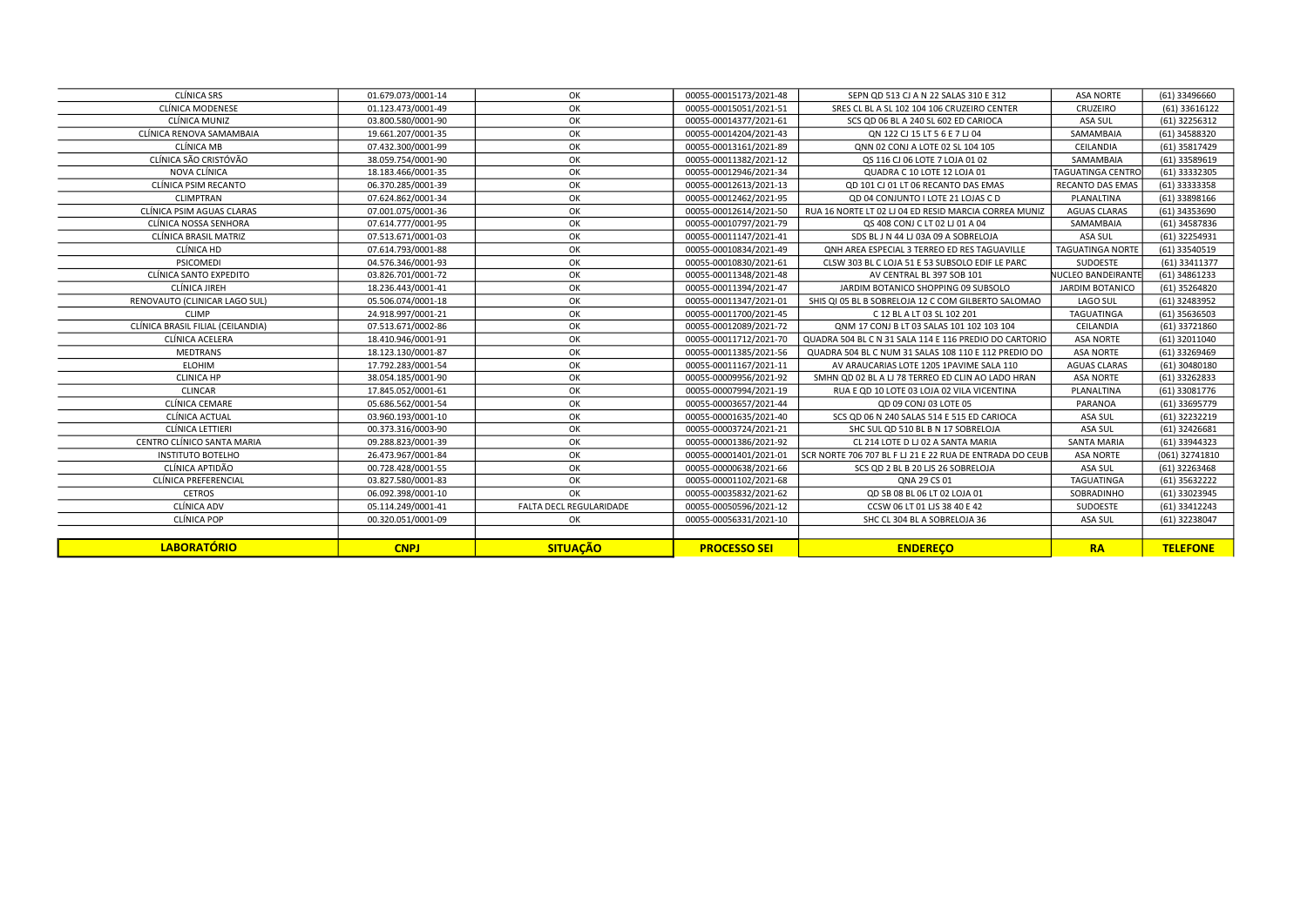| CLÍNICA SRS                       | 01.679.073/0001-14 | OK                      | 00055-00015173/2021-48 | SEPN QD 513 CJ A N 22 SALAS 310 E 312                    | ASA NORTE                | (61) 33496660   |
|-----------------------------------|--------------------|-------------------------|------------------------|----------------------------------------------------------|--------------------------|-----------------|
| CLÍNICA MODENESE                  | 01.123.473/0001-49 | OK                      | 00055-00015051/2021-51 | SRES CL BL A SL 102 104 106 CRUZEIRO CENTER              | CRUZEIRO                 | (61) 33616122   |
| CLÍNICA MUNIZ                     | 03.800.580/0001-90 | OK                      | 00055-00014377/2021-61 | SCS QD 06 BL A 240 SL 602 ED CARIOCA                     | ASA SUL                  | (61) 32256312   |
| CLÍNICA RENOVA SAMAMBAIA          | 19.661.207/0001-35 | OK                      | 00055-00014204/2021-43 | ON 122 CJ 15 LT 5 6 E 7 LJ 04                            | SAMAMBAIA                | (61) 34588320   |
| CLÍNICA MB                        | 07.432.300/0001-99 | OK                      | 00055-00013161/2021-89 | QNN 02 CONJ A LOTE 02 SL 104 105                         | CEILANDIA                | (61) 35817429   |
| CLÍNICA SÃO CRISTÓVÃO             | 38.059.754/0001-90 | OK                      | 00055-00011382/2021-12 | OS 116 CJ 06 LOTE 7 LOJA 01 02                           | SAMAMBAIA                | (61) 33589619   |
| NOVA CLÍNICA                      | 18.183.466/0001-35 | OK                      | 00055-00012946/2021-34 | QUADRA C 10 LOTE 12 LOJA 01                              | <b>TAGUATINGA CENTRO</b> | (61) 33332305   |
| CLÍNICA PSIM RECANTO              | 06.370.285/0001-39 | OK                      | 00055-00012613/2021-13 | QD 101 CJ 01 LT 06 RECANTO DAS EMAS                      | RECANTO DAS EMAS         | (61) 33333358   |
| <b>CLIMPTRAN</b>                  | 07.624.862/0001-34 | OK                      | 00055-00012462/2021-95 | QD 04 CONJUNTO I LOTE 21 LOJAS C D                       | PLANALTINA               | (61) 33898166   |
| CLÍNICA PSIM AGUAS CLARAS         | 07.001.075/0001-36 | OK                      | 00055-00012614/2021-50 | RUA 16 NORTE LT 02 LJ 04 ED RESID MARCIA CORREA MUNIZ    | <b>AGUAS CLARAS</b>      | (61) 34353690   |
| CLÍNICA NOSSA SENHORA             | 07.614.777/0001-95 | OK                      | 00055-00010797/2021-79 | QS 408 CONJ C LT 02 LJ 01 A 04                           | SAMAMBAIA                | (61) 34587836   |
| CLÍNICA BRASIL MATRIZ             | 07.513.671/0001-03 | OK                      | 00055-00011147/2021-41 | SDS BL J N 44 LJ 03A 09 A SOBRELOJA                      | ASA SUL                  | (61) 32254931   |
| CLÍNICA HD                        | 07.614.793/0001-88 | OK                      | 00055-00010834/2021-49 | ONH AREA ESPECIAL 3 TERREO ED RES TAGUAVILLE             | <b>TAGUATINGA NORTE</b>  | (61) 33540519   |
| PSICOMEDI                         | 04.576.346/0001-93 | OK                      | 00055-00010830/2021-61 | CLSW 303 BL C LOJA 51 E 53 SUBSOLO EDIF LE PARC          | SUDOESTE                 | (61) 33411377   |
| CLÍNICA SANTO EXPEDITO            | 03.826.701/0001-72 | OK                      | 00055-00011348/2021-48 | AV CENTRAL BL 397 SOB 101                                | NUCLEO BANDEIRANTE       | (61) 34861233   |
| CLÍNICA JIREH                     | 18.236.443/0001-41 | OK                      | 00055-00011394/2021-47 | JARDIM BOTANICO SHOPPING 09 SUBSOLO                      | <b>JARDIM BOTANICO</b>   | (61) 35264820   |
| RENOVAUTO (CLINICAR LAGO SUL)     | 05.506.074/0001-18 | OK                      | 00055-00011347/2021-01 | SHIS QI 05 BL B SOBRELOJA 12 C COM GILBERTO SALOMAO      | LAGO SUL                 | (61) 32483952   |
| <b>CLIMP</b>                      | 24.918.997/0001-21 | OK                      | 00055-00011700/2021-45 | C 12 BL A LT 03 SL 102 201                               | TAGUATINGA               | (61) 35636503   |
| CLÍNICA BRASIL FILIAL (CEILANDIA) | 07.513.671/0002-86 | OK                      | 00055-00012089/2021-72 | ONM 17 CONJ B LT 03 SALAS 101 102 103 104                | CEILANDIA                | (61) 33721860   |
| CLÍNICA ACELERA                   | 18.410.946/0001-91 | OK                      | 00055-00011712/2021-70 | QUADRA 504 BL C N 31 SALA 114 E 116 PREDIO DO CARTORIO   | <b>ASA NORTE</b>         | (61) 32011040   |
| <b>MEDTRANS</b>                   | 18.123.130/0001-87 | OK                      | 00055-00011385/2021-56 | QUADRA 504 BL C NUM 31 SALAS 108 110 E 112 PREDIO DO     | <b>ASA NORTE</b>         | (61) 33269469   |
| <b>ELOHIM</b>                     | 17.792.283/0001-54 | OK                      | 00055-00011167/2021-11 | AV ARAUCARIAS LOTE 1205 1PAVIME SALA 110                 | <b>AGUAS CLARAS</b>      | (61) 30480180   |
| <b>CLINICA HP</b>                 | 38.054.185/0001-90 | OK                      | 00055-00009956/2021-92 | SMHN OD 02 BL A LJ 78 TERREO ED CLIN AO LADO HRAN        | <b>ASA NORTE</b>         | (61) 33262833   |
| <b>CLINCAR</b>                    | 17.845.052/0001-61 | OK                      | 00055-00007994/2021-19 | RUA E OD 10 LOTE 03 LOJA 02 VILA VICENTINA               | PLANALTINA               | (61) 33081776   |
| CLÍNICA CEMARE                    | 05.686.562/0001-54 | OK                      | 00055-00003657/2021-44 | QD 09 CONJ 03 LOTE 05                                    | PARANOA                  | (61) 33695779   |
| CLÍNICA ACTUAL                    | 03.960.193/0001-10 | OK                      | 00055-00001635/2021-40 | SCS OD 06 N 240 SALAS 514 E 515 ED CARIOCA               | ASA SUL                  | (61) 32232219   |
| CLÍNICA LETTIERI                  | 00.373.316/0003-90 | OK                      | 00055-00003724/2021-21 | SHC SUL QD 510 BL B N 17 SOBRELOJA                       | ASA SUL                  | (61) 32426681   |
| CENTRO CLÍNICO SANTA MARIA        | 09.288.823/0001-39 | OK                      | 00055-00001386/2021-92 | CL 214 LOTE D LJ 02 A SANTA MARIA                        | <b>SANTA MARIA</b>       | (61) 33944323   |
| <b>INSTITUTO BOTELHO</b>          | 26.473.967/0001-84 | OK                      | 00055-00001401/2021-01 | SCR NORTE 706 707 BL F LJ 21 E 22 RUA DE ENTRADA DO CEUB | <b>ASA NORTE</b>         | (061) 32741810  |
| CLÍNICA APTIDÃO                   | 00.728.428/0001-55 | OK                      | 00055-00000638/2021-66 | SCS QD 2 BL B 20 LJS 26 SOBRELOJA                        | ASA SUL                  | (61) 32263468   |
| CLÍNICA PREFERENCIAL              | 03.827.580/0001-83 | OK                      | 00055-00001102/2021-68 | QNA 29 CS 01                                             | <b>TAGUATINGA</b>        | (61) 35632222   |
| <b>CETROS</b>                     | 06.092.398/0001-10 | OK                      | 00055-00035832/2021-62 | OD SB 08 BL 06 LT 02 LOJA 01                             | SOBRADINHO               | (61) 33023945   |
| CLÍNICA ADV                       | 05.114.249/0001-41 | FALTA DECL REGULARIDADE | 00055-00050596/2021-12 | CCSW 06 LT 01 LJS 38 40 E 42                             | SUDOESTE                 | (61) 33412243   |
| CLÍNICA POP                       | 00.320.051/0001-09 | OK                      | 00055-00056331/2021-10 | SHC CL 304 BL A SOBRELOJA 36                             | ASA SUL                  | (61) 32238047   |
|                                   |                    |                         |                        |                                                          |                          |                 |
| <b>LABORATÓRIO</b>                | <b>CNPJ</b>        | <b>SITUAÇÃO</b>         | <b>PROCESSO SEI</b>    | <b>ENDERECO</b>                                          | <b>RA</b>                | <b>TELEFONE</b> |